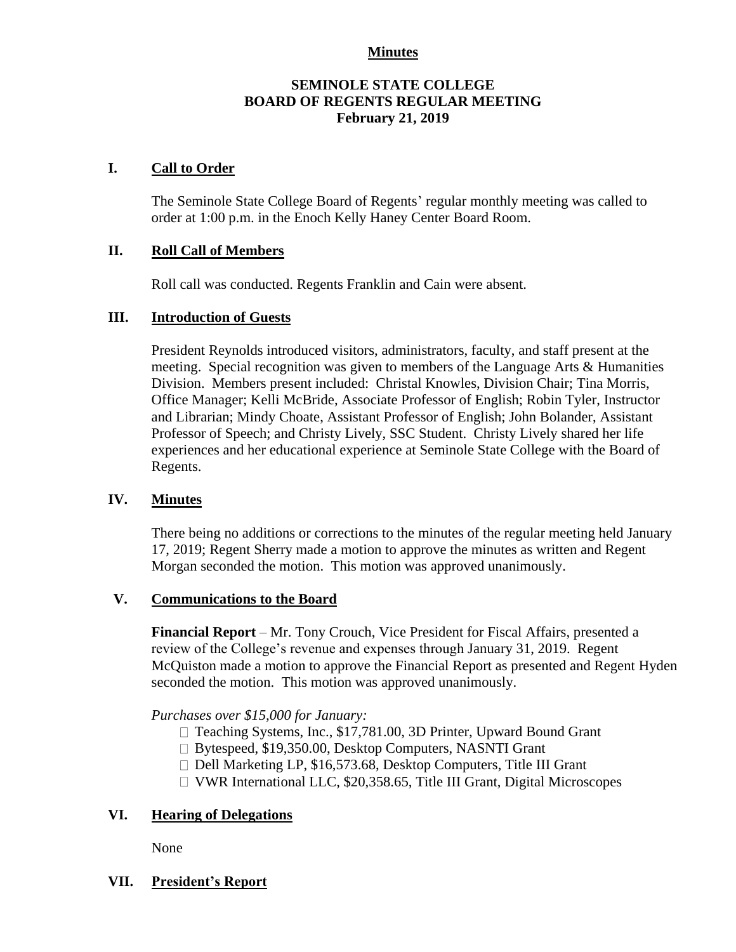## **Minutes**

# **SEMINOLE STATE COLLEGE BOARD OF REGENTS REGULAR MEETING February 21, 2019**

# **I. Call to Order**

The Seminole State College Board of Regents' regular monthly meeting was called to order at 1:00 p.m. in the Enoch Kelly Haney Center Board Room.

# **II. Roll Call of Members**

Roll call was conducted. Regents Franklin and Cain were absent.

# **III. Introduction of Guests**

President Reynolds introduced visitors, administrators, faculty, and staff present at the meeting. Special recognition was given to members of the Language Arts & Humanities Division. Members present included: Christal Knowles, Division Chair; Tina Morris, Office Manager; Kelli McBride, Associate Professor of English; Robin Tyler, Instructor and Librarian; Mindy Choate, Assistant Professor of English; John Bolander, Assistant Professor of Speech; and Christy Lively, SSC Student. Christy Lively shared her life experiences and her educational experience at Seminole State College with the Board of Regents.

## **IV. Minutes**

There being no additions or corrections to the minutes of the regular meeting held January 17, 2019; Regent Sherry made a motion to approve the minutes as written and Regent Morgan seconded the motion. This motion was approved unanimously.

## **V. Communications to the Board**

**Financial Report** – Mr. Tony Crouch, Vice President for Fiscal Affairs, presented a review of the College's revenue and expenses through January 31, 2019. Regent McQuiston made a motion to approve the Financial Report as presented and Regent Hyden seconded the motion. This motion was approved unanimously.

*Purchases over \$15,000 for January:*

- □ Teaching Systems, Inc., \$17,781.00, 3D Printer, Upward Bound Grant
- □ Bytespeed, \$19,350.00, Desktop Computers, NASNTI Grant
- $\Box$  Dell Marketing LP, \$16,573.68, Desktop Computers, Title III Grant
- VWR International LLC, \$20,358.65, Title III Grant, Digital Microscopes

## **VI. Hearing of Delegations**

None

**VII. President's Report**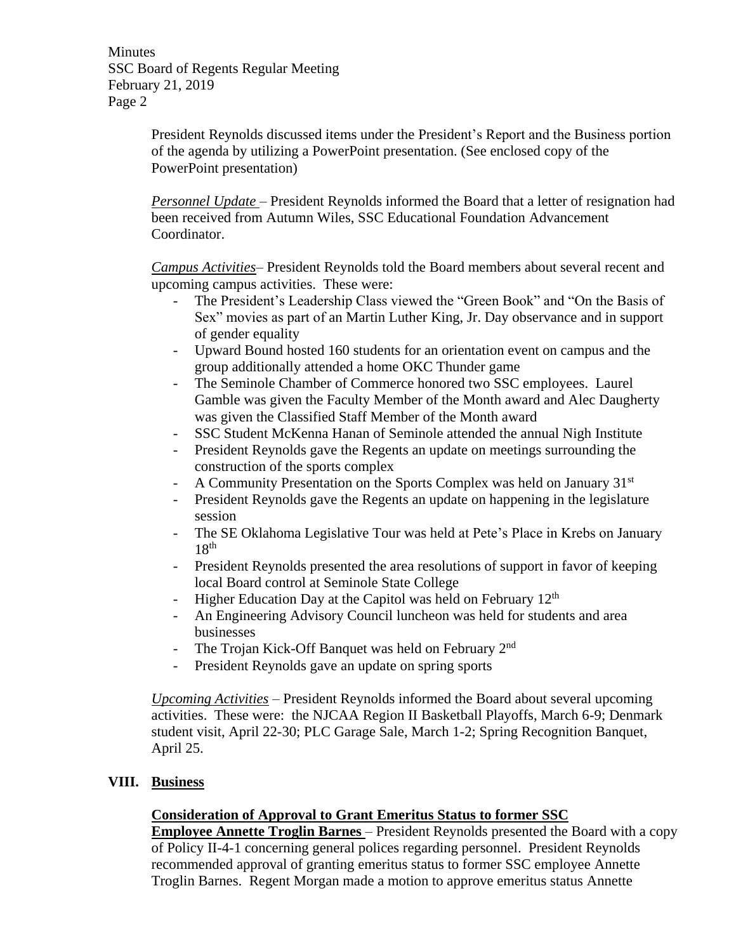Minutes SSC Board of Regents Regular Meeting February 21, 2019 Page 2

> President Reynolds discussed items under the President's Report and the Business portion of the agenda by utilizing a PowerPoint presentation. (See enclosed copy of the PowerPoint presentation)

> *Personnel Update* – President Reynolds informed the Board that a letter of resignation had been received from Autumn Wiles, SSC Educational Foundation Advancement Coordinator.

*Campus Activities*– President Reynolds told the Board members about several recent and upcoming campus activities. These were:

- The President's Leadership Class viewed the "Green Book" and "On the Basis of Sex" movies as part of an Martin Luther King, Jr. Day observance and in support of gender equality
- Upward Bound hosted 160 students for an orientation event on campus and the group additionally attended a home OKC Thunder game
- The Seminole Chamber of Commerce honored two SSC employees. Laurel Gamble was given the Faculty Member of the Month award and Alec Daugherty was given the Classified Staff Member of the Month award
- SSC Student McKenna Hanan of Seminole attended the annual Nigh Institute
- President Reynolds gave the Regents an update on meetings surrounding the construction of the sports complex
- A Community Presentation on the Sports Complex was held on January 31<sup>st</sup>
- President Reynolds gave the Regents an update on happening in the legislature session
- The SE Oklahoma Legislative Tour was held at Pete's Place in Krebs on January  $18<sup>th</sup>$
- President Reynolds presented the area resolutions of support in favor of keeping local Board control at Seminole State College
- Higher Education Day at the Capitol was held on February  $12<sup>th</sup>$
- An Engineering Advisory Council luncheon was held for students and area businesses
- The Trojan Kick-Off Banquet was held on February 2<sup>nd</sup>
- President Reynolds gave an update on spring sports

*Upcoming Activities* – President Reynolds informed the Board about several upcoming activities. These were: the NJCAA Region II Basketball Playoffs, March 6-9; Denmark student visit, April 22-30; PLC Garage Sale, March 1-2; Spring Recognition Banquet, April 25.

# **VIII. Business**

# **Consideration of Approval to Grant Emeritus Status to former SSC**

**Employee Annette Troglin Barnes** – President Reynolds presented the Board with a copy of Policy II-4-1 concerning general polices regarding personnel. President Reynolds recommended approval of granting emeritus status to former SSC employee Annette Troglin Barnes. Regent Morgan made a motion to approve emeritus status Annette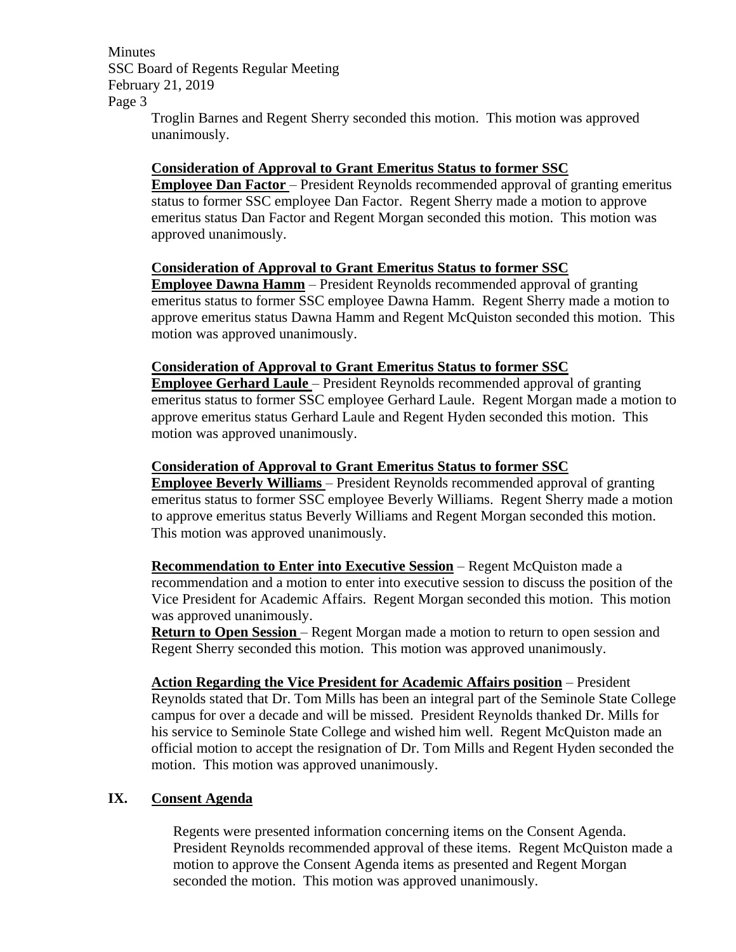Minutes SSC Board of Regents Regular Meeting February 21, 2019 Page 3

Troglin Barnes and Regent Sherry seconded this motion. This motion was approved unanimously.

#### **Consideration of Approval to Grant Emeritus Status to former SSC**

**Employee Dan Factor** – President Reynolds recommended approval of granting emeritus status to former SSC employee Dan Factor. Regent Sherry made a motion to approve emeritus status Dan Factor and Regent Morgan seconded this motion. This motion was approved unanimously.

## **Consideration of Approval to Grant Emeritus Status to former SSC**

**Employee Dawna Hamm** – President Reynolds recommended approval of granting emeritus status to former SSC employee Dawna Hamm. Regent Sherry made a motion to approve emeritus status Dawna Hamm and Regent McQuiston seconded this motion. This motion was approved unanimously.

#### **Consideration of Approval to Grant Emeritus Status to former SSC**

**Employee Gerhard Laule** – President Reynolds recommended approval of granting emeritus status to former SSC employee Gerhard Laule. Regent Morgan made a motion to approve emeritus status Gerhard Laule and Regent Hyden seconded this motion. This motion was approved unanimously.

#### **Consideration of Approval to Grant Emeritus Status to former SSC**

**Employee Beverly Williams** – President Reynolds recommended approval of granting emeritus status to former SSC employee Beverly Williams. Regent Sherry made a motion to approve emeritus status Beverly Williams and Regent Morgan seconded this motion. This motion was approved unanimously.

**Recommendation to Enter into Executive Session** – Regent McQuiston made a recommendation and a motion to enter into executive session to discuss the position of the Vice President for Academic Affairs. Regent Morgan seconded this motion. This motion was approved unanimously.

**Return to Open Session** – Regent Morgan made a motion to return to open session and Regent Sherry seconded this motion. This motion was approved unanimously.

**Action Regarding the Vice President for Academic Affairs position** – President Reynolds stated that Dr. Tom Mills has been an integral part of the Seminole State College campus for over a decade and will be missed. President Reynolds thanked Dr. Mills for his service to Seminole State College and wished him well. Regent McQuiston made an official motion to accept the resignation of Dr. Tom Mills and Regent Hyden seconded the motion. This motion was approved unanimously.

## **IX. Consent Agenda**

Regents were presented information concerning items on the Consent Agenda. President Reynolds recommended approval of these items. Regent McQuiston made a motion to approve the Consent Agenda items as presented and Regent Morgan seconded the motion. This motion was approved unanimously.